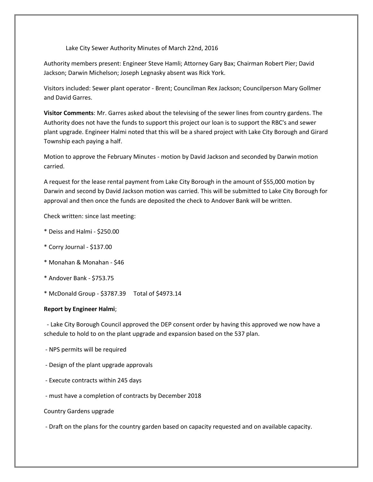Lake City Sewer Authority Minutes of March 22nd, 2016

Authority members present: Engineer Steve Hamli; Attorney Gary Bax; Chairman Robert Pier; David Jackson; Darwin Michelson; Joseph Legnasky absent was Rick York.

Visitors included: Sewer plant operator - Brent; Councilman Rex Jackson; Councilperson Mary Gollmer and David Garres.

**Visitor Comments**: Mr. Garres asked about the televising of the sewer lines from country gardens. The Authority does not have the funds to support this project our loan is to support the RBC's and sewer plant upgrade. Engineer Halmi noted that this will be a shared project with Lake City Borough and Girard Township each paying a half.

Motion to approve the February Minutes - motion by David Jackson and seconded by Darwin motion carried.

A request for the lease rental payment from Lake City Borough in the amount of \$55,000 motion by Darwin and second by David Jackson motion was carried. This will be submitted to Lake City Borough for approval and then once the funds are deposited the check to Andover Bank will be written.

Check written: since last meeting:

- \* Deiss and Halmi \$250.00
- \* Corry Journal \$137.00
- \* Monahan & Monahan \$46
- \* Andover Bank \$753.75
- \* McDonald Group \$3787.39 Total of \$4973.14

## **Report by Engineer Halmi**;

 - Lake City Borough Council approved the DEP consent order by having this approved we now have a schedule to hold to on the plant upgrade and expansion based on the 537 plan.

- NPS permits will be required
- Design of the plant upgrade approvals
- Execute contracts within 245 days
- must have a completion of contracts by December 2018
- Country Gardens upgrade

- Draft on the plans for the country garden based on capacity requested and on available capacity.